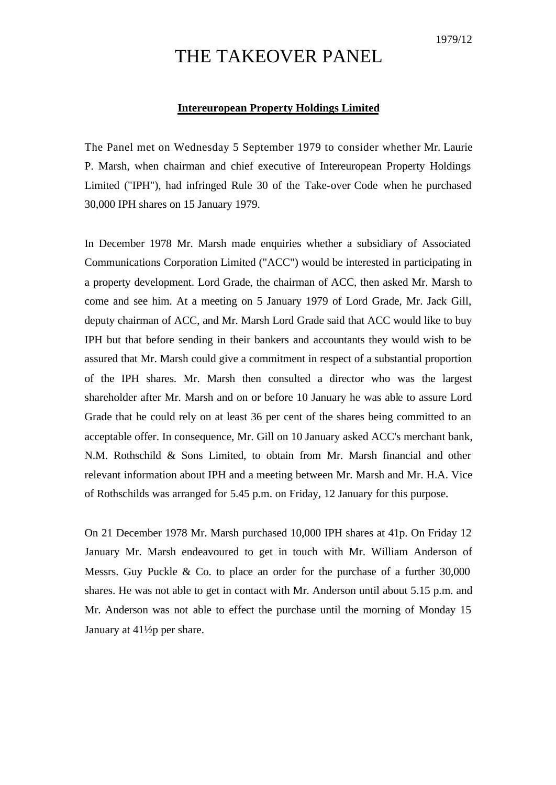## THE TAKEOVER PANEL

## **Intereuropean Property Holdings Limited**

The Panel met on Wednesday 5 September 1979 to consider whether Mr. Laurie P. Marsh, when chairman and chief executive of Intereuropean Property Holdings Limited ("IPH"), had infringed Rule 30 of the Take-over Code when he purchased 30,000 IPH shares on 15 January 1979.

In December 1978 Mr. Marsh made enquiries whether a subsidiary of Associated Communications Corporation Limited ("ACC") would be interested in participating in a property development. Lord Grade, the chairman of ACC, then asked Mr. Marsh to come and see him. At a meeting on 5 January 1979 of Lord Grade, Mr. Jack Gill, deputy chairman of ACC, and Mr. Marsh Lord Grade said that ACC would like to buy IPH but that before sending in their bankers and accountants they would wish to be assured that Mr. Marsh could give a commitment in respect of a substantial proportion of the IPH shares. Mr. Marsh then consulted a director who was the largest shareholder after Mr. Marsh and on or before 10 January he was able to assure Lord Grade that he could rely on at least 36 per cent of the shares being committed to an acceptable offer. In consequence, Mr. Gill on 10 January asked ACC's merchant bank, N.M. Rothschild & Sons Limited, to obtain from Mr. Marsh financial and other relevant information about IPH and a meeting between Mr. Marsh and Mr. H.A. Vice of Rothschilds was arranged for 5.45 p.m. on Friday, 12 January for this purpose.

On 21 December 1978 Mr. Marsh purchased 10,000 IPH shares at 41p. On Friday 12 January Mr. Marsh endeavoured to get in touch with Mr. William Anderson of Messrs. Guy Puckle & Co. to place an order for the purchase of a further 30,000 shares. He was not able to get in contact with Mr. Anderson until about 5.15 p.m. and Mr. Anderson was not able to effect the purchase until the morning of Monday 15 January at 41½p per share.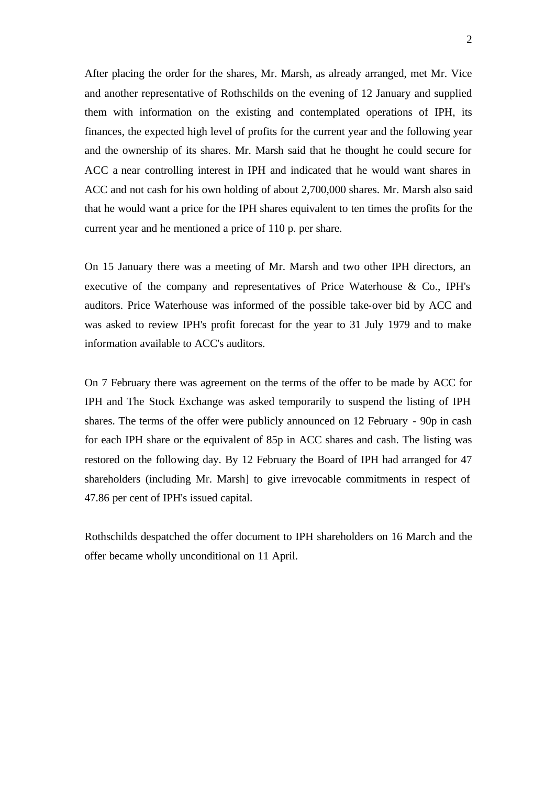After placing the order for the shares, Mr. Marsh, as already arranged, met Mr. Vice and another representative of Rothschilds on the evening of 12 January and supplied them with information on the existing and contemplated operations of IPH, its finances, the expected high level of profits for the current year and the following year and the ownership of its shares. Mr. Marsh said that he thought he could secure for ACC a near controlling interest in IPH and indicated that he would want shares in ACC and not cash for his own holding of about 2,700,000 shares. Mr. Marsh also said that he would want a price for the IPH shares equivalent to ten times the profits for the current year and he mentioned a price of 110 p. per share.

On 15 January there was a meeting of Mr. Marsh and two other IPH directors, an executive of the company and representatives of Price Waterhouse & Co., IPH's auditors. Price Waterhouse was informed of the possible take-over bid by ACC and was asked to review IPH's profit forecast for the year to 31 July 1979 and to make information available to ACC's auditors.

On 7 February there was agreement on the terms of the offer to be made by ACC for IPH and The Stock Exchange was asked temporarily to suspend the listing of IPH shares. The terms of the offer were publicly announced on 12 February - 90p in cash for each IPH share or the equivalent of 85p in ACC shares and cash. The listing was restored on the following day. By 12 February the Board of IPH had arranged for 47 shareholders (including Mr. Marsh] to give irrevocable commitments in respect of 47.86 per cent of IPH's issued capital.

Rothschilds despatched the offer document to IPH shareholders on 16 March and the offer became wholly unconditional on 11 April.